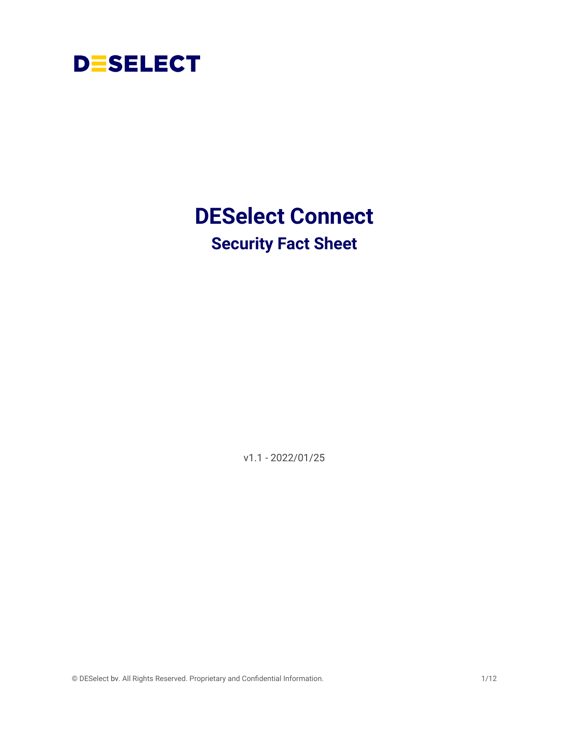

## <span id="page-0-0"></span>**DESelect Connect Security Fact Sheet**

v1.1 - 2022/01/25

© DESelect bv. All Rights Reserved. Proprietary and Confidential Information. 1/12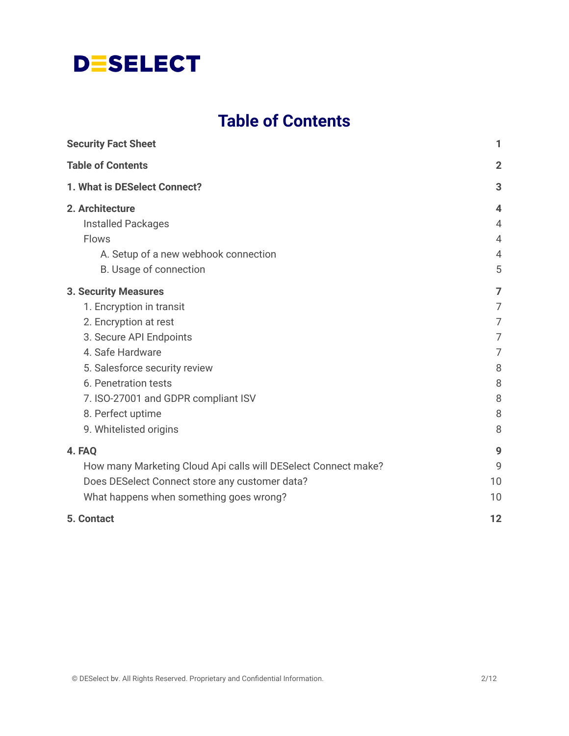## **Table of Contents**

<span id="page-1-0"></span>

| <b>Security Fact Sheet</b>                                                                                                                                                                                                                                                     | 1                                                                     |
|--------------------------------------------------------------------------------------------------------------------------------------------------------------------------------------------------------------------------------------------------------------------------------|-----------------------------------------------------------------------|
| <b>Table of Contents</b>                                                                                                                                                                                                                                                       | $\overline{2}$                                                        |
| 1. What is DESelect Connect?                                                                                                                                                                                                                                                   | 3                                                                     |
| 2. Architecture<br><b>Installed Packages</b><br><b>Flows</b><br>A. Setup of a new webhook connection<br>B. Usage of connection                                                                                                                                                 | $\overline{\mathbf{4}}$<br>$\overline{4}$<br>4<br>$\overline{4}$<br>5 |
| <b>3. Security Measures</b><br>1. Encryption in transit<br>2. Encryption at rest<br>3. Secure API Endpoints<br>4. Safe Hardware<br>5. Salesforce security review<br>6. Penetration tests<br>7. ISO-27001 and GDPR compliant ISV<br>8. Perfect uptime<br>9. Whitelisted origins | 7<br>7<br>$\overline{7}$<br>7<br>7<br>8<br>8<br>8<br>8<br>8           |
| 4. FAQ<br>How many Marketing Cloud Api calls will DESelect Connect make?<br>Does DESelect Connect store any customer data?<br>What happens when something goes wrong?                                                                                                          | 9<br>9<br>10<br>10                                                    |
| 5. Contact                                                                                                                                                                                                                                                                     | 12                                                                    |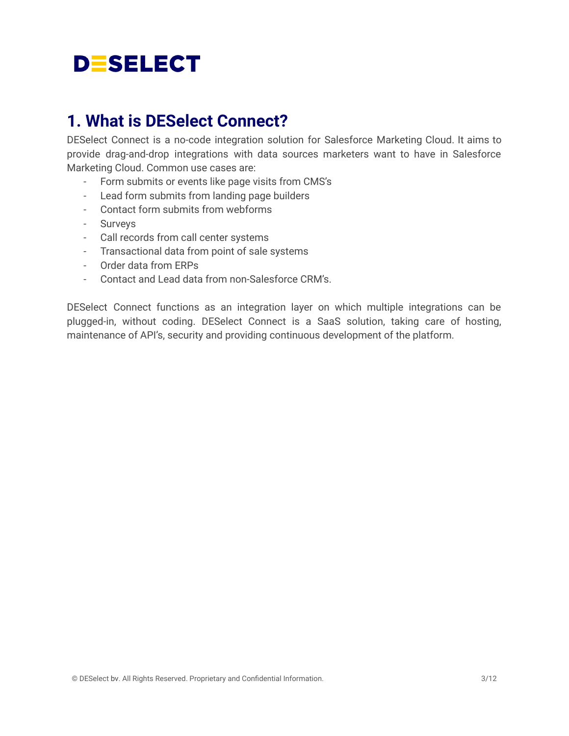## <span id="page-2-0"></span>**1. What is DESelect Connect?**

DESelect Connect is a no-code integration solution for Salesforce Marketing Cloud. It aims to provide drag-and-drop integrations with data sources marketers want to have in Salesforce Marketing Cloud. Common use cases are:

- Form submits or events like page visits from CMS's
- Lead form submits from landing page builders
- Contact form submits from webforms
- Surveys
- Call records from call center systems
- Transactional data from point of sale systems
- Order data from ERPs
- Contact and Lead data from non-Salesforce CRM's.

DESelect Connect functions as an integration layer on which multiple integrations can be plugged-in, without coding. DESelect Connect is a SaaS solution, taking care of hosting, maintenance of API's, security and providing continuous development of the platform.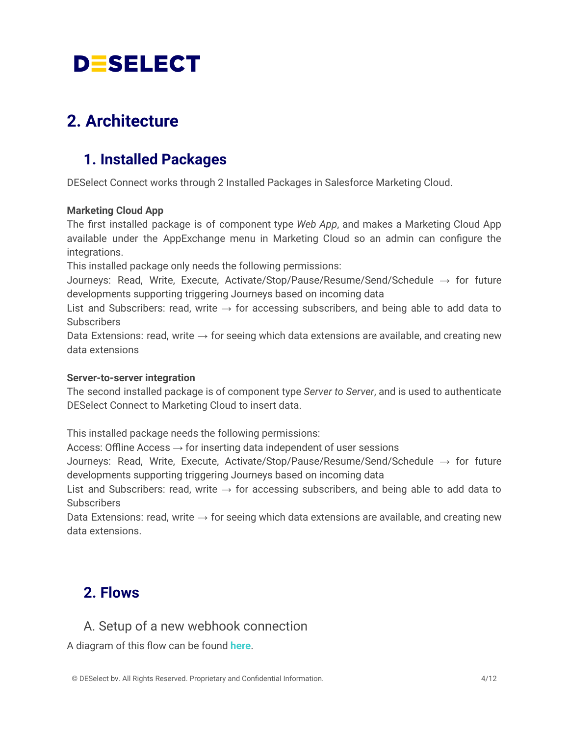## <span id="page-3-1"></span><span id="page-3-0"></span>**2. Architecture**

## **1. Installed Packages**

DESelect Connect works through 2 Installed Packages in Salesforce Marketing Cloud.

#### **Marketing Cloud App**

The first installed package is of component type *Web App*, and makes a Marketing Cloud App available under the AppExchange menu in Marketing Cloud so an admin can configure the integrations.

This installed package only needs the following permissions:

Journeys: Read, Write, Execute, Activate/Stop/Pause/Resume/Send/Schedule  $\rightarrow$  for future developments supporting triggering Journeys based on incoming data

List and Subscribers: read, write  $\rightarrow$  for accessing subscribers, and being able to add data to **Subscribers** 

Data Extensions: read, write  $\rightarrow$  for seeing which data extensions are available, and creating new data extensions

#### **Server-to-server integration**

The second installed package is of component type *Server to Server*, and is used to authenticate DESelect Connect to Marketing Cloud to insert data.

This installed package needs the following permissions:

Access: Offline Access  $\rightarrow$  for inserting data independent of user sessions

Journeys: Read, Write, Execute, Activate/Stop/Pause/Resume/Send/Schedule → for future developments supporting triggering Journeys based on incoming data

List and Subscribers: read, write  $\rightarrow$  for accessing subscribers, and being able to add data to Subscribers

Data Extensions: read, write  $\rightarrow$  for seeing which data extensions are available, and creating new data extensions.

### <span id="page-3-2"></span>**2. Flows**

#### <span id="page-3-3"></span>A. Setup of a new webhook connection

A diagram of this flow can be found **[here](https://drive.google.com/file/d/1xPRS0rK9co3WAYI6qk_HxpfQ37lF1fW9/view?usp=sharing)**.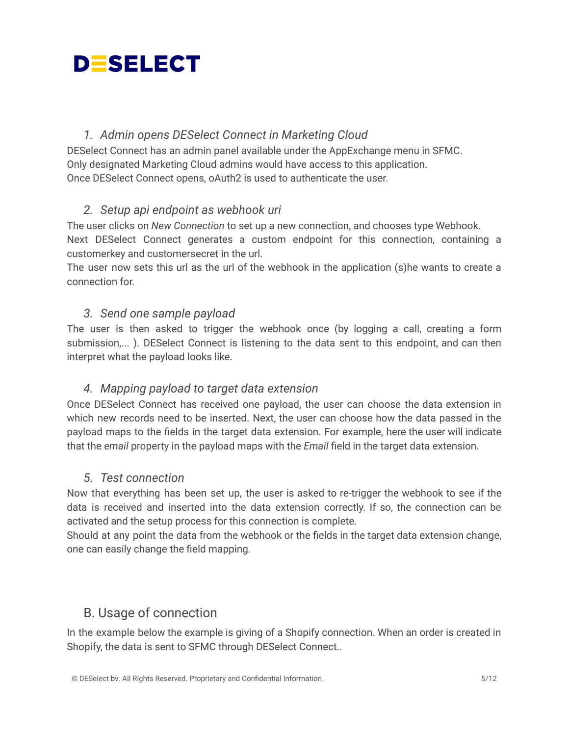#### *1. Admin opens DESelect Connect in Marketing Cloud*

DESelect Connect has an admin panel available under the AppExchange menu in SFMC. Only designated Marketing Cloud admins would have access to this application. Once DESelect Connect opens, oAuth2 is used to authenticate the user.

#### *2. Setup api endpoint as webhook uri*

The user clicks on *New Connection* to set up a new connection, and chooses type Webhook. Next DESelect Connect generates a custom endpoint for this connection, containing a customerkey and customersecret in the url.

The user now sets this url as the url of the webhook in the application (s)he wants to create a connection for.

#### *3. Send one sample payload*

The user is then asked to trigger the webhook once (by logging a call, creating a form submission,... ). DESelect Connect is listening to the data sent to this endpoint, and can then interpret what the payload looks like.

#### *4. Mapping payload to target data extension*

Once DESelect Connect has received one payload, the user can choose the data extension in which new records need to be inserted. Next, the user can choose how the data passed in the payload maps to the fields in the target data extension. For example, here the user will indicate that the *email* property in the payload maps with the *Email* field in the target data extension.

#### *5. Test connection*

Now that everything has been set up, the user is asked to re-trigger the webhook to see if the data is received and inserted into the data extension correctly. If so, the connection can be activated and the setup process for this connection is complete.

Should at any point the data from the webhook or the fields in the target data extension change, one can easily change the field mapping.

#### <span id="page-4-0"></span>B. Usage of connection

In the example below the example is giving of a Shopify connection. When an order is created in Shopify, the data is sent to SFMC through DESelect Connect..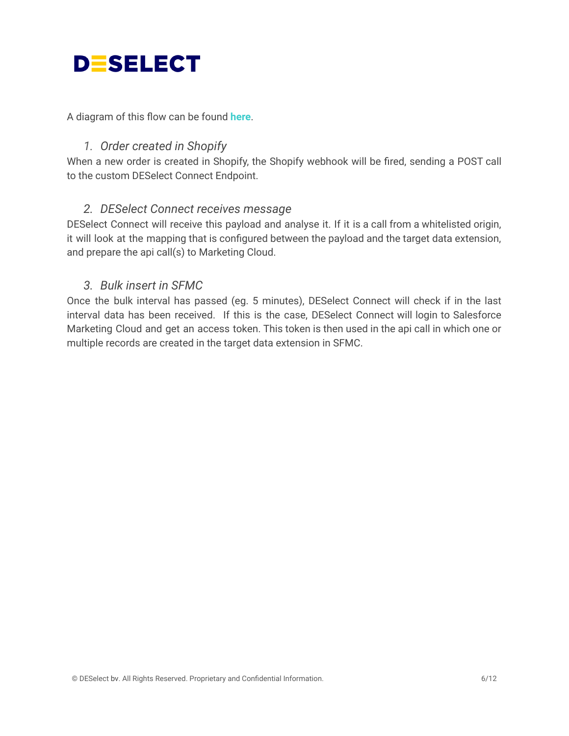A diagram of this flow can be found **[here](https://drive.google.com/file/d/1j8ANowHUTqOZRCooSeajTaSk76Bnclit/view?usp=sharing)**.

#### *1. Order created in Shopify*

When a new order is created in Shopify, the Shopify webhook will be fired, sending a POST call to the custom DESelect Connect Endpoint.

#### *2. DESelect Connect receives message*

DESelect Connect will receive this payload and analyse it. If it is a call from a whitelisted origin, it will look at the mapping that is configured between the payload and the target data extension, and prepare the api call(s) to Marketing Cloud.

#### *3. Bulk insert in SFMC*

Once the bulk interval has passed (eg. 5 minutes), DESelect Connect will check if in the last interval data has been received. If this is the case, DESelect Connect will login to Salesforce Marketing Cloud and get an access token. This token is then used in the api call in which one or multiple records are created in the target data extension in SFMC.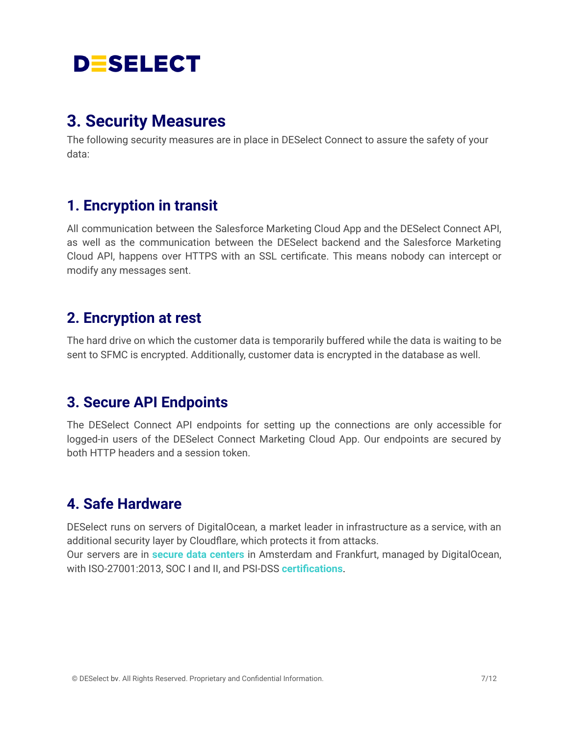## <span id="page-6-0"></span>**3. Security Measures**

The following security measures are in place in DESelect Connect to assure the safety of your data:

### <span id="page-6-1"></span>**1. Encryption in transit**

All communication between the Salesforce Marketing Cloud App and the DESelect Connect API, as well as the communication between the DESelect backend and the Salesforce Marketing Cloud API, happens over HTTPS with an SSL certificate. This means nobody can intercept or modify any messages sent.

### <span id="page-6-2"></span>**2. Encryption at rest**

The hard drive on which the customer data is temporarily buffered while the data is waiting to be sent to SFMC is encrypted. Additionally, customer data is encrypted in the database as well.

### <span id="page-6-3"></span>**3. Secure API Endpoints**

The DESelect Connect API endpoints for setting up the connections are only accessible for logged-in users of the DESelect Connect Marketing Cloud App. Our endpoints are secured by both HTTP headers and a session token.

### <span id="page-6-4"></span>**4. Safe Hardware**

DESelect runs on servers of DigitalOcean, a market leader in infrastructure as a service, with an additional security layer by Cloudflare, which protects it from attacks. Our servers are in **secure data [centers](https://www.digitalocean.com/trust/)** in Amsterdam and Frankfurt, managed by DigitalOcean, with ISO-27001:2013, SOC I and II, and PSI-DSS **[certifications](https://www.digitalocean.com/legal/certifications/)**.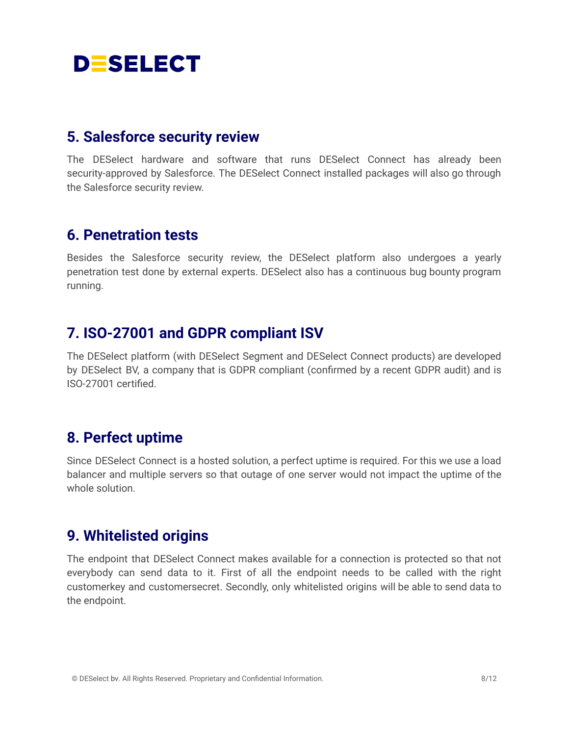### <span id="page-7-0"></span>**5. Salesforce security review**

The DESelect hardware and software that runs DESelect Connect has already been security-approved by Salesforce. The DESelect Connect installed packages will also go through the Salesforce security review.

### <span id="page-7-1"></span>**6. Penetration tests**

Besides the Salesforce security review, the DESelect platform also undergoes a yearly penetration test done by external experts. DESelect also has a continuous bug bounty program running.

### <span id="page-7-2"></span>**7. ISO-27001 and GDPR compliant ISV**

The DESelect platform (with DESelect Segment and DESelect Connect products) are developed by DESelect BV, a company that is GDPR compliant (confirmed by a recent GDPR audit) and is ISO-27001 certified.

### <span id="page-7-3"></span>**8. Perfect uptime**

Since DESelect Connect is a hosted solution, a perfect uptime is required. For this we use a load balancer and multiple servers so that outage of one server would not impact the uptime of the whole solution.

### <span id="page-7-4"></span>**9. Whitelisted origins**

The endpoint that DESelect Connect makes available for a connection is protected so that not everybody can send data to it. First of all the endpoint needs to be called with the right customerkey and customersecret. Secondly, only whitelisted origins will be able to send data to the endpoint.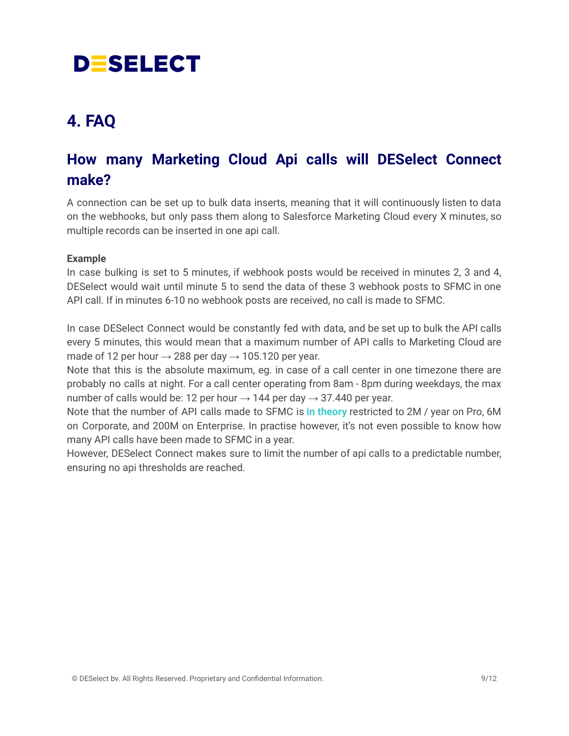## <span id="page-8-0"></span>**4. FAQ**

## <span id="page-8-1"></span>**How many Marketing Cloud Api calls will DESelect Connect make?**

A connection can be set up to bulk data inserts, meaning that it will continuously listen to data on the webhooks, but only pass them along to Salesforce Marketing Cloud every X minutes, so multiple records can be inserted in one api call.

#### **Example**

In case bulking is set to 5 minutes, if webhook posts would be received in minutes 2, 3 and 4, DESelect would wait until minute 5 to send the data of these 3 webhook posts to SFMC in one API call. If in minutes 6-10 no webhook posts are received, no call is made to SFMC.

In case DESelect Connect would be constantly fed with data, and be set up to bulk the API calls every 5 minutes, this would mean that a maximum number of API calls to Marketing Cloud are made of 12 per hour  $\rightarrow$  288 per day  $\rightarrow$  105.120 per year.

Note that this is the absolute maximum, eg. in case of a call center in one timezone there are probably no calls at night. For a call center operating from 8am - 8pm during weekdays, the max number of calls would be: 12 per hour  $\rightarrow$  144 per day  $\rightarrow$  37.440 per year.

Note that the number of API calls made to SFMC is **in [theory](https://www.salesforce.com/content/dam/web/en_us/www/documents/pricing/mc_email_journey_pricing_sheet.pdf)** restricted to 2M / year on Pro, 6M on Corporate, and 200M on Enterprise. In practise however, it's not even possible to know how many API calls have been made to SFMC in a year.

However, DESelect Connect makes sure to limit the number of api calls to a predictable number, ensuring no api thresholds are reached.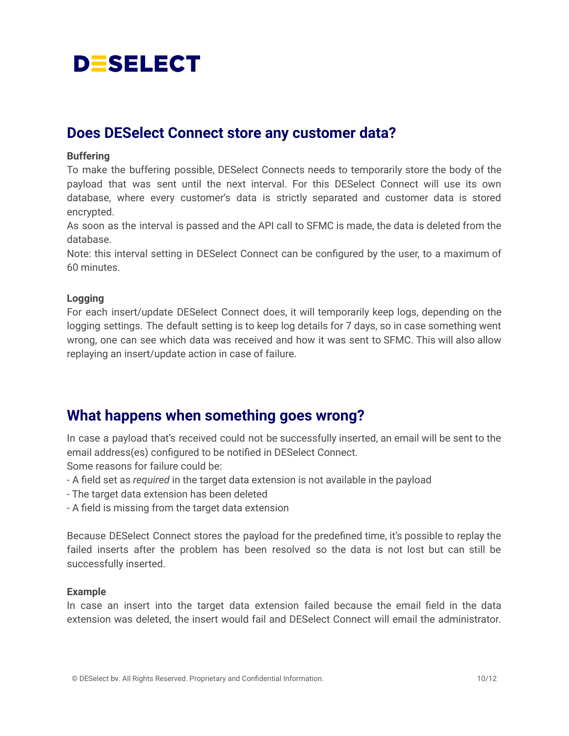### <span id="page-9-0"></span>**Does DESelect Connect store any customer data?**

#### **Buffering**

To make the buffering possible, DESelect Connects needs to temporarily store the body of the payload that was sent until the next interval. For this DESelect Connect will use its own database, where every customer's data is strictly separated and customer data is stored encrypted.

As soon as the interval is passed and the API call to SFMC is made, the data is deleted from the database.

Note: this interval setting in DESelect Connect can be configured by the user, to a maximum of 60 minutes.

#### **Logging**

For each insert/update DESelect Connect does, it will temporarily keep logs, depending on the logging settings. The default setting is to keep log details for 7 days, so in case something went wrong, one can see which data was received and how it was sent to SFMC. This will also allow replaying an insert/update action in case of failure.

### <span id="page-9-1"></span>**What happens when something goes wrong?**

In case a payload that's received could not be successfully inserted, an email will be sent to the email address(es) configured to be notified in DESelect Connect.

Some reasons for failure could be:

- A field set as *required* in the target data extension is not available in the payload
- The target data extension has been deleted
- A field is missing from the target data extension

Because DESelect Connect stores the payload for the predefined time, it's possible to replay the failed inserts after the problem has been resolved so the data is not lost but can still be successfully inserted.

#### **Example**

In case an insert into the target data extension failed because the email field in the data extension was deleted, the insert would fail and DESelect Connect will email the administrator.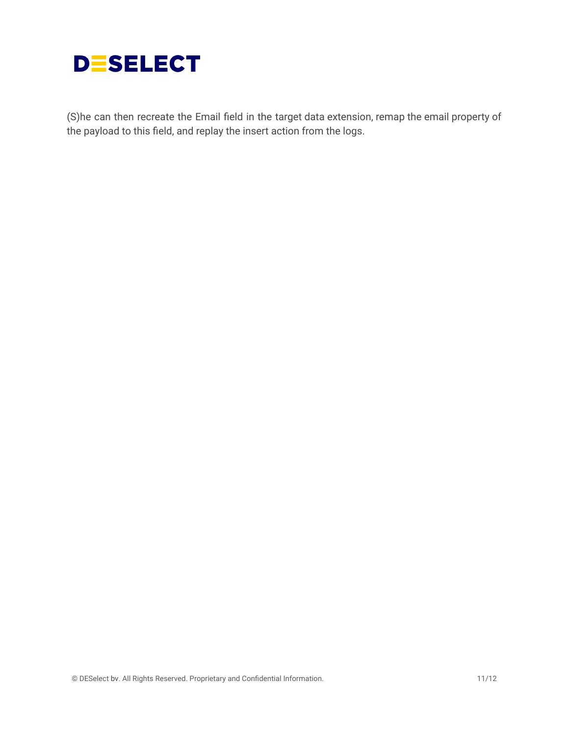

(S)he can then recreate the Email field in the target data extension, remap the email property of the payload to this field, and replay the insert action from the logs.